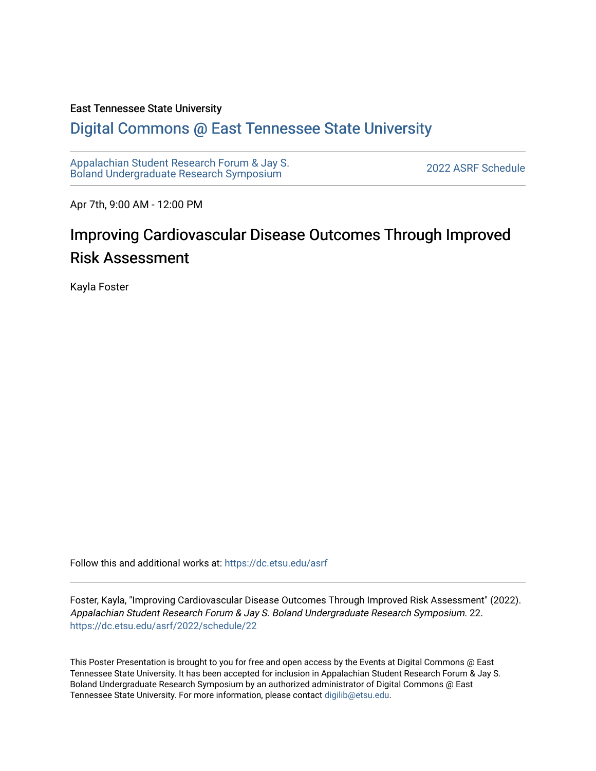#### East Tennessee State University

#### [Digital Commons @ East Tennessee State University](https://dc.etsu.edu/)

[Appalachian Student Research Forum & Jay S.](https://dc.etsu.edu/asrf)  Appalactifalt Student Research Forum & Jay S.<br>Boland Undergraduate Research Symposium

Apr 7th, 9:00 AM - 12:00 PM

#### Improving Cardiovascular Disease Outcomes Through Improved Risk Assessment

Kayla Foster

Follow this and additional works at: [https://dc.etsu.edu/asrf](https://dc.etsu.edu/asrf?utm_source=dc.etsu.edu%2Fasrf%2F2022%2Fschedule%2F22&utm_medium=PDF&utm_campaign=PDFCoverPages) 

Foster, Kayla, "Improving Cardiovascular Disease Outcomes Through Improved Risk Assessment" (2022). Appalachian Student Research Forum & Jay S. Boland Undergraduate Research Symposium. 22. [https://dc.etsu.edu/asrf/2022/schedule/22](https://dc.etsu.edu/asrf/2022/schedule/22?utm_source=dc.etsu.edu%2Fasrf%2F2022%2Fschedule%2F22&utm_medium=PDF&utm_campaign=PDFCoverPages) 

This Poster Presentation is brought to you for free and open access by the Events at Digital Commons @ East Tennessee State University. It has been accepted for inclusion in Appalachian Student Research Forum & Jay S. Boland Undergraduate Research Symposium by an authorized administrator of Digital Commons @ East Tennessee State University. For more information, please contact [digilib@etsu.edu](mailto:digilib@etsu.edu).